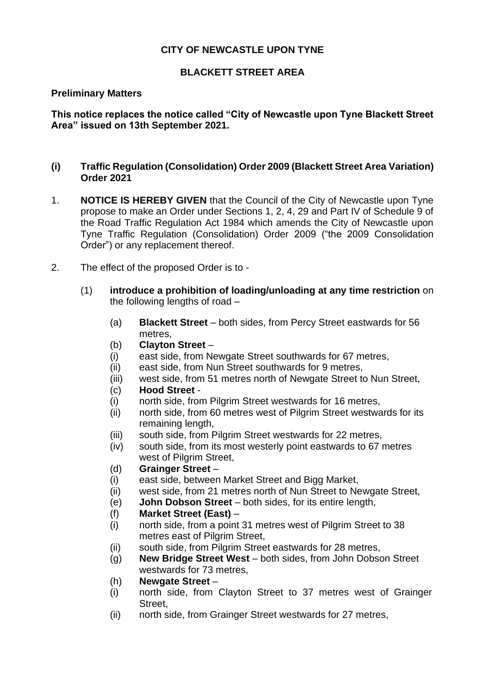## **CITY OF NEWCASTLE UPON TYNE**

## **BLACKETT STREET AREA**

#### **Preliminary Matters**

**This notice replaces the notice called "City of Newcastle upon Tyne Blackett Street Area" issued on 13th September 2021.**

### **(i) Traffic Regulation (Consolidation) Order 2009 (Blackett Street Area Variation) Order 2021**

- 1. **NOTICE IS HEREBY GIVEN** that the Council of the City of Newcastle upon Tyne propose to make an Order under Sections 1, 2, 4, 29 and Part IV of Schedule 9 of the Road Traffic Regulation Act 1984 which amends the City of Newcastle upon Tyne Traffic Regulation (Consolidation) Order 2009 ("the 2009 Consolidation Order") or any replacement thereof.
- 2. The effect of the proposed Order is to
	- (1) **introduce a prohibition of loading/unloading at any time restriction** on the following lengths of road –
		- (a) **Blackett Street** both sides, from Percy Street eastwards for 56 metres,
		- (b) **Clayton Street** –
		- (i) east side, from Newgate Street southwards for 67 metres,
		- (ii) east side, from Nun Street southwards for 9 metres,
		- (iii) west side, from 51 metres north of Newgate Street to Nun Street,
		- (c) **Hood Street** -
		- (i) north side, from Pilgrim Street westwards for 16 metres,
		- (ii) north side, from 60 metres west of Pilgrim Street westwards for its remaining length,
		- (iii) south side, from Pilgrim Street westwards for 22 metres,
		- (iv) south side, from its most westerly point eastwards to 67 metres west of Pilgrim Street,
		- (d) **Grainger Street** –
		- (i) east side, between Market Street and Bigg Market,
		- (ii) west side, from 21 metres north of Nun Street to Newgate Street,
		- (e) **John Dobson Street**  both sides, for its entire length,
		- (f) **Market Street (East)** –
		- (i) north side, from a point 31 metres west of Pilgrim Street to 38 metres east of Pilgrim Street,
		- (ii) south side, from Pilgrim Street eastwards for 28 metres,
		- (g) **New Bridge Street West**  both sides, from John Dobson Street westwards for 73 metres,
		- (h) **Newgate Street** –
		- (i) north side, from Clayton Street to 37 metres west of Grainger Street,
		- (ii) north side, from Grainger Street westwards for 27 metres,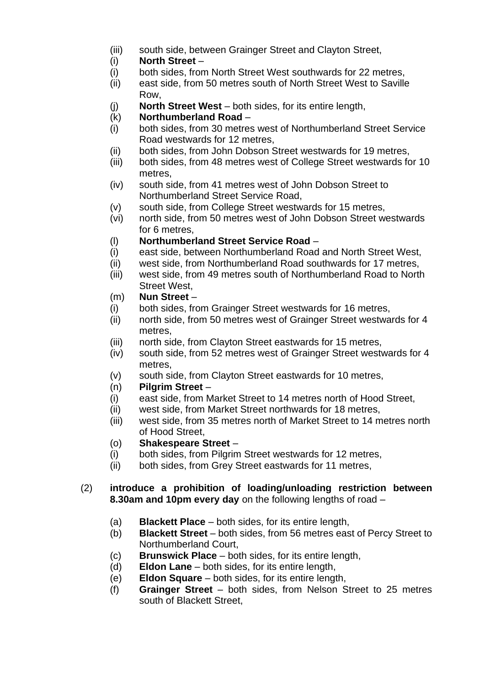- (iii) south side, between Grainger Street and Clayton Street,
- (i) **North Street** –
- (i) both sides, from North Street West southwards for 22 metres,
- (ii) east side, from 50 metres south of North Street West to Saville Row,
- (j) **North Street West**  both sides, for its entire length,
- (k) **Northumberland Road** –
- (i) both sides, from 30 metres west of Northumberland Street Service Road westwards for 12 metres,
- (ii) both sides, from John Dobson Street westwards for 19 metres,
- (iii) both sides, from 48 metres west of College Street westwards for 10 metres,
- (iv) south side, from 41 metres west of John Dobson Street to Northumberland Street Service Road,
- (v) south side, from College Street westwards for 15 metres,
- (vi) north side, from 50 metres west of John Dobson Street westwards for 6 metres,
- (l) **Northumberland Street Service Road** –
- (i) east side, between Northumberland Road and North Street West,
- (ii) west side, from Northumberland Road southwards for 17 metres,
- (iii) west side, from 49 metres south of Northumberland Road to North Street West,

### (m) **Nun Street** –

- (i) both sides, from Grainger Street westwards for 16 metres,
- (ii) north side, from 50 metres west of Grainger Street westwards for 4 metres,
- (iii) north side, from Clayton Street eastwards for 15 metres,
- (iv) south side, from 52 metres west of Grainger Street westwards for 4 metres,
- (v) south side, from Clayton Street eastwards for 10 metres,
- (n) **Pilgrim Street** –
- (i) east side, from Market Street to 14 metres north of Hood Street,
- (ii) west side, from Market Street northwards for 18 metres,
- (iii) west side, from 35 metres north of Market Street to 14 metres north of Hood Street,
- (o) **Shakespeare Street** –
- (i) both sides, from Pilgrim Street westwards for 12 metres,
- (ii) both sides, from Grey Street eastwards for 11 metres,

### (2) **introduce a prohibition of loading/unloading restriction between 8.30am and 10pm every day** on the following lengths of road –

- (a) **Blackett Place**  both sides, for its entire length,
- (b) **Blackett Street**  both sides, from 56 metres east of Percy Street to Northumberland Court,
- (c) **Brunswick Place**  both sides, for its entire length,
- (d) **Eldon Lane**  both sides, for its entire length,
- (e) **Eldon Square**  both sides, for its entire length,
- (f) **Grainger Street**  both sides, from Nelson Street to 25 metres south of Blackett Street,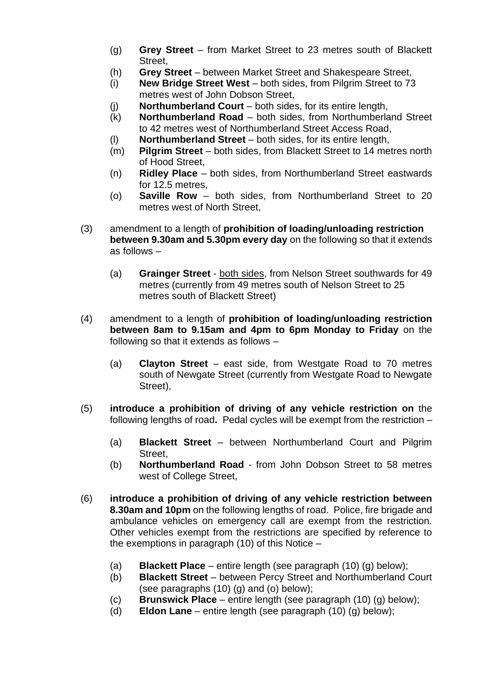- (g) **Grey Street**  from Market Street to 23 metres south of Blackett Street,
- (h) **Grey Street**  between Market Street and Shakespeare Street,
- (i) **New Bridge Street West**  both sides, from Pilgrim Street to 73 metres west of John Dobson Street,
- (j) **Northumberland Court**  both sides, for its entire length,
- (k) **Northumberland Road**  both sides, from Northumberland Street to 42 metres west of Northumberland Street Access Road,
- (l) **Northumberland Street**  both sides, for its entire length,
- (m) **Pilgrim Street**  both sides, from Blackett Street to 14 metres north of Hood Street,
- (n) **Ridley Place**  both sides, from Northumberland Street eastwards for 12.5 metres,
- (o) **Saville Row**  both sides, from Northumberland Street to 20 metres west of North Street,
- (3) amendment to a length of **prohibition of loading/unloading restriction between 9.30am and 5.30pm every day** on the following so that it extends as follows –
	- (a) **Grainger Street**  both sides, from Nelson Street southwards for 49 metres (currently from 49 metres south of Nelson Street to 25 metres south of Blackett Street)
- (4) amendment to a length of **prohibition of loading/unloading restriction between 8am to 9.15am and 4pm to 6pm Monday to Friday** on the following so that it extends as follows –
	- (a) **Clayton Street**  east side, from Westgate Road to 70 metres south of Newgate Street (currently from Westgate Road to Newgate Street),
- (5) **introduce a prohibition of driving of any vehicle restriction on** the following lengths of road**.** Pedal cycles will be exempt from the restriction –
	- (a) **Blackett Street**  between Northumberland Court and Pilgrim Street,
	- (b) **Northumberland Road**  from John Dobson Street to 58 metres west of College Street,
- (6) **introduce a prohibition of driving of any vehicle restriction between 8.30am and 10pm** on the following lengths of road. Police, fire brigade and ambulance vehicles on emergency call are exempt from the restriction. Other vehicles exempt from the restrictions are specified by reference to the exemptions in paragraph (10) of this Notice –
	- (a) **Blackett Place** entire length (see paragraph (10) (g) below);
	- (b) **Blackett Street** between Percy Street and Northumberland Court (see paragraphs (10) (g) and (o) below);
	- (c) **Brunswick Place** entire length (see paragraph (10) (g) below);
	- (d) **Eldon Lane** entire length (see paragraph (10) (g) below);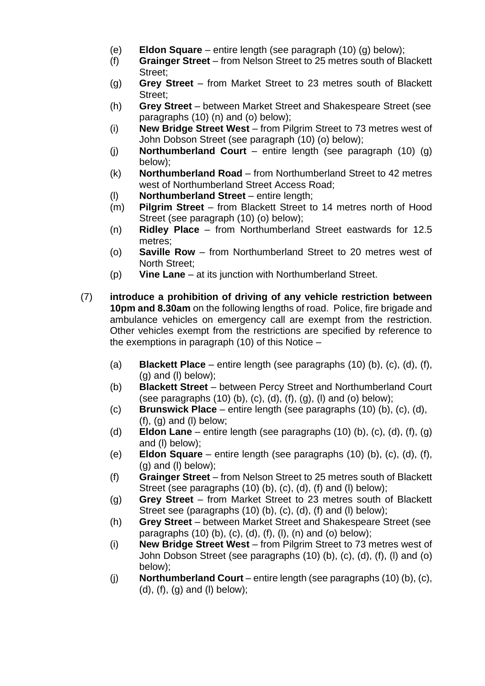- (e) **Eldon Square** entire length (see paragraph (10) (g) below);
- (f) **Grainger Street** from Nelson Street to 25 metres south of Blackett Street;
- (g) **Grey Street** from Market Street to 23 metres south of Blackett Street;
- (h) **Grey Street** between Market Street and Shakespeare Street (see paragraphs (10) (n) and (o) below);
- (i) **New Bridge Street West** from Pilgrim Street to 73 metres west of John Dobson Street (see paragraph (10) (o) below);
- (j) **Northumberland Court** entire length (see paragraph (10) (g) below);
- (k) **Northumberland Road** from Northumberland Street to 42 metres west of Northumberland Street Access Road;
- (l) **Northumberland Street** entire length;
- (m) **Pilgrim Street** from Blackett Street to 14 metres north of Hood Street (see paragraph (10) (o) below);
- (n) **Ridley Place** from Northumberland Street eastwards for 12.5 metres;
- (o) **Saville Row** from Northumberland Street to 20 metres west of North Street;
- (p) **Vine Lane** at its junction with Northumberland Street.
- (7) **introduce a prohibition of driving of any vehicle restriction between 10pm and 8.30am** on the following lengths of road. Police, fire brigade and ambulance vehicles on emergency call are exempt from the restriction. Other vehicles exempt from the restrictions are specified by reference to the exemptions in paragraph  $(10)$  of this Notice –
	- (a) **Blackett Place** entire length (see paragraphs (10) (b), (c), (d), (f),  $(g)$  and  $(l)$  below);
	- (b) **Blackett Street** between Percy Street and Northumberland Court (see paragraphs  $(10)$  (b),  $(c)$ ,  $(d)$ ,  $(f)$ ,  $(g)$ ,  $(l)$  and  $(o)$  below);
	- (c) **Brunswick Place** entire length (see paragraphs (10) (b), (c), (d),  $(f)$ ,  $(g)$  and  $(l)$  below;
	- (d) **Eldon Lane** entire length (see paragraphs (10) (b), (c), (d), (f), (g) and (l) below);
	- (e) **Eldon Square** entire length (see paragraphs (10) (b), (c), (d), (f), (g) and (l) below);
	- (f) **Grainger Street** from Nelson Street to 25 metres south of Blackett Street (see paragraphs (10) (b), (c), (d), (f) and (l) below);
	- (g) **Grey Street** from Market Street to 23 metres south of Blackett Street see (paragraphs (10) (b), (c), (d), (f) and (l) below);
	- (h) **Grey Street** between Market Street and Shakespeare Street (see paragraphs  $(10)$  (b),  $(c)$ ,  $(d)$ ,  $(f)$ ,  $(l)$ ,  $(n)$  and  $(o)$  below);
	- (i) **New Bridge Street West** from Pilgrim Street to 73 metres west of John Dobson Street (see paragraphs (10) (b), (c), (d), (f), (l) and (o) below);
	- (j) **Northumberland Court**  entire length (see paragraphs (10) (b), (c),  $(d)$ ,  $(f)$ ,  $(g)$  and  $(l)$  below);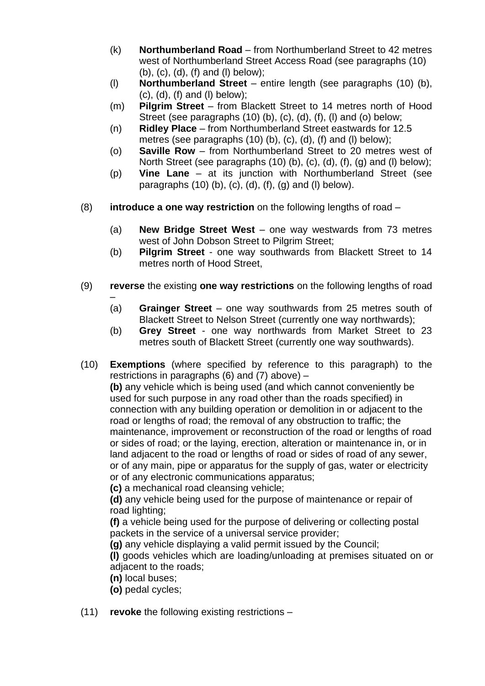- (k) **Northumberland Road** from Northumberland Street to 42 metres west of Northumberland Street Access Road (see paragraphs (10) (b), (c), (d), (f) and (l) below);
- (l) **Northumberland Street**  entire length (see paragraphs (10) (b),  $(c)$ ,  $(d)$ ,  $(f)$  and  $(l)$  below);
- (m) **Pilgrim Street**  from Blackett Street to 14 metres north of Hood Street (see paragraphs (10) (b), (c), (d), (f), (l) and (o) below;
- (n) **Ridley Place** from Northumberland Street eastwards for 12.5 metres (see paragraphs (10) (b), (c), (d), (f) and (l) below);
- (o) **Saville Row** from Northumberland Street to 20 metres west of North Street (see paragraphs (10) (b), (c), (d), (f), (g) and (l) below);
- (p) **Vine Lane**  at its junction with Northumberland Street (see paragraphs  $(10)$  (b),  $(c)$ ,  $(d)$ ,  $(f)$ ,  $(g)$  and  $(l)$  below).
- (8) **introduce a one way restriction** on the following lengths of road
	- (a) **New Bridge Street West**  one way westwards from 73 metres west of John Dobson Street to Pilgrim Street;
	- (b) **Pilgrim Street** one way southwards from Blackett Street to 14 metres north of Hood Street,
- (9) **reverse** the existing **one way restrictions** on the following lengths of road
	- (a) **Grainger Street** – one way southwards from 25 metres south of Blackett Street to Nelson Street (currently one way northwards);
	- (b) **Grey Street** one way northwards from Market Street to 23 metres south of Blackett Street (currently one way southwards).
- (10) **Exemptions** (where specified by reference to this paragraph) to the restrictions in paragraphs (6) and (7) above)  $-$ **(b)** any vehicle which is being used (and which cannot conveniently be used for such purpose in any road other than the roads specified) in connection with any building operation or demolition in or adjacent to the road or lengths of road; the removal of any obstruction to traffic; the maintenance, improvement or reconstruction of the road or lengths of road or sides of road; or the laying, erection, alteration or maintenance in, or in land adjacent to the road or lengths of road or sides of road of any sewer, or of any main, pipe or apparatus for the supply of gas, water or electricity or of any electronic communications apparatus;

**(c)** a mechanical road cleansing vehicle;

**(d)** any vehicle being used for the purpose of maintenance or repair of road lighting;

 **(f)** a vehicle being used for the purpose of delivering or collecting postal packets in the service of a universal service provider;

**(g)** any vehicle displaying a valid permit issued by the Council;

**(l)** goods vehicles which are loading/unloading at premises situated on or adjacent to the roads;

- **(n)** local buses;
- **(o)** pedal cycles;
- (11) **revoke** the following existing restrictions –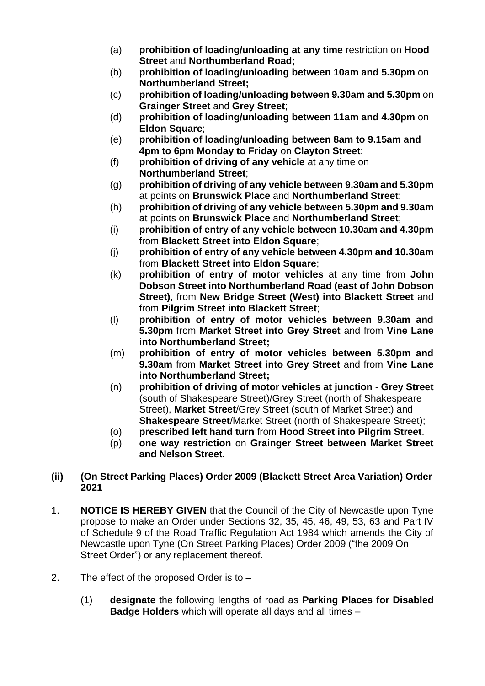- (a) **prohibition of loading/unloading at any time** restriction on **Hood Street** and **Northumberland Road;**
- (b) **prohibition of loading/unloading between 10am and 5.30pm** on **Northumberland Street;**
- (c) **prohibition of loading/unloading between 9.30am and 5.30pm** on **Grainger Street** and **Grey Street**;
- (d) **prohibition of loading/unloading between 11am and 4.30pm** on **Eldon Square**;
- (e) **prohibition of loading/unloading between 8am to 9.15am and 4pm to 6pm Monday to Friday** on **Clayton Street**;
- (f) **prohibition of driving of any vehicle** at any time on **Northumberland Street**;
- (g) **prohibition of driving of any vehicle between 9.30am and 5.30pm** at points on **Brunswick Place** and **Northumberland Street**;
- (h) **prohibition of driving of any vehicle between 5.30pm and 9.30am** at points on **Brunswick Place** and **Northumberland Street**;
- (i) **prohibition of entry of any vehicle between 10.30am and 4.30pm** from **Blackett Street into Eldon Square**;
- (j) **prohibition of entry of any vehicle between 4.30pm and 10.30am** from **Blackett Street into Eldon Square**;
- (k) **prohibition of entry of motor vehicles** at any time from **John Dobson Street into Northumberland Road (east of John Dobson Street)**, from **New Bridge Street (West) into Blackett Street** and from **Pilgrim Street into Blackett Street**;
- (l) **prohibition of entry of motor vehicles between 9.30am and 5.30pm** from **Market Street into Grey Street** and from **Vine Lane into Northumberland Street;**
- (m) **prohibition of entry of motor vehicles between 5.30pm and 9.30am** from **Market Street into Grey Street** and from **Vine Lane into Northumberland Street;**
- (n) **prohibition of driving of motor vehicles at junction Grey Street** (south of Shakespeare Street)/Grey Street (north of Shakespeare Street), **Market Street**/Grey Street (south of Market Street) and **Shakespeare Street**/Market Street (north of Shakespeare Street);
- (o) **prescribed left hand turn** from **Hood Street into Pilgrim Street**.
- (p) **one way restriction** on **Grainger Street between Market Street and Nelson Street.**

# **(ii) (On Street Parking Places) Order 2009 (Blackett Street Area Variation) Order 2021**

- 1. **NOTICE IS HEREBY GIVEN** that the Council of the City of Newcastle upon Tyne propose to make an Order under Sections 32, 35, 45, 46, 49, 53, 63 and Part IV of Schedule 9 of the Road Traffic Regulation Act 1984 which amends the City of Newcastle upon Tyne (On Street Parking Places) Order 2009 ("the 2009 On Street Order") or any replacement thereof.
- 2. The effect of the proposed Order is to
	- (1) **designate** the following lengths of road as **Parking Places for Disabled Badge Holders** which will operate all days and all times –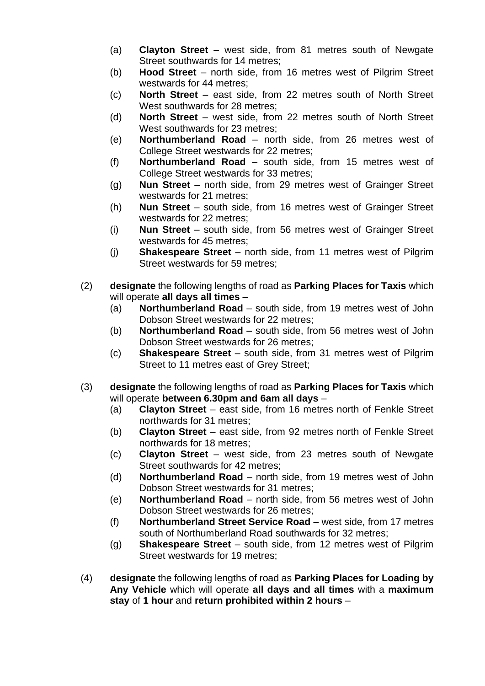- (a) **Clayton Street**  west side, from 81 metres south of Newgate Street southwards for 14 metres;
- (b) **Hood Street**  north side, from 16 metres west of Pilgrim Street westwards for 44 metres;
- (c) **North Street**  east side, from 22 metres south of North Street West southwards for 28 metres;
- (d) **North Street**  west side, from 22 metres south of North Street West southwards for 23 metres;
- (e) **Northumberland Road**  north side, from 26 metres west of College Street westwards for 22 metres;
- (f) **Northumberland Road**  south side, from 15 metres west of College Street westwards for 33 metres;
- (g) **Nun Street**  north side, from 29 metres west of Grainger Street westwards for 21 metres;
- (h) **Nun Street**  south side, from 16 metres west of Grainger Street westwards for 22 metres;
- (i) **Nun Street**  south side, from 56 metres west of Grainger Street westwards for 45 metres;
- (j) **Shakespeare Street**  north side, from 11 metres west of Pilgrim Street westwards for 59 metres;
- (2) **designate** the following lengths of road as **Parking Places for Taxis** which will operate **all days all times** –
	- (a) **Northumberland Road** south side, from 19 metres west of John Dobson Street westwards for 22 metres;
	- (b) **Northumberland Road**  south side, from 56 metres west of John Dobson Street westwards for 26 metres;
	- (c) **Shakespeare Street**  south side, from 31 metres west of Pilgrim Street to 11 metres east of Grey Street;
- (3) **designate** the following lengths of road as **Parking Places for Taxis** which will operate **between 6.30pm and 6am all days** –
	- (a) **Clayton Street**  east side, from 16 metres north of Fenkle Street northwards for 31 metres;
	- (b) **Clayton Street**  east side, from 92 metres north of Fenkle Street northwards for 18 metres;
	- (c) **Clayton Street**  west side, from 23 metres south of Newgate Street southwards for 42 metres;
	- (d) **Northumberland Road** north side, from 19 metres west of John Dobson Street westwards for 31 metres;
	- (e) **Northumberland Road**  north side, from 56 metres west of John Dobson Street westwards for 26 metres;
	- (f) **Northumberland Street Service Road**  west side, from 17 metres south of Northumberland Road southwards for 32 metres;
	- (g) **Shakespeare Street**  south side, from 12 metres west of Pilgrim Street westwards for 19 metres;
- (4) **designate** the following lengths of road as **Parking Places for Loading by Any Vehicle** which will operate **all days and all times** with a **maximum stay** of **1 hour** and **return prohibited within 2 hours** –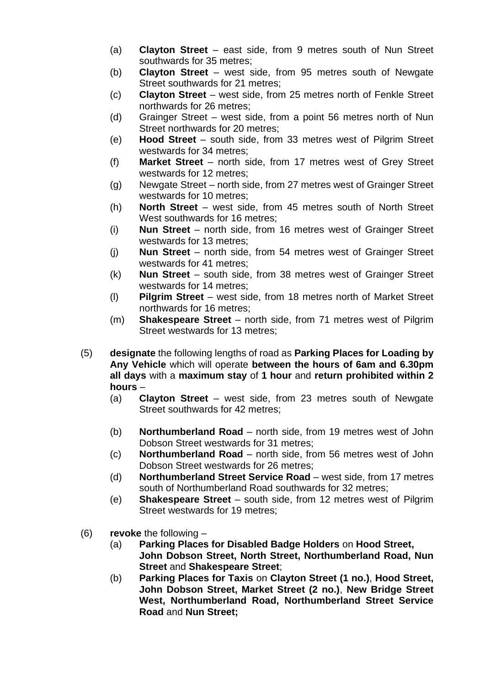- (a) **Clayton Street**  east side, from 9 metres south of Nun Street southwards for 35 metres;
- (b) **Clayton Street**  west side, from 95 metres south of Newgate Street southwards for 21 metres;
- (c) **Clayton Street**  west side, from 25 metres north of Fenkle Street northwards for 26 metres;
- (d) Grainger Street west side, from a point 56 metres north of Nun Street northwards for 20 metres;
- (e) **Hood Street**  south side, from 33 metres west of Pilgrim Street westwards for 34 metres;
- (f) **Market Street**  north side, from 17 metres west of Grey Street westwards for 12 metres;
- (g) Newgate Street north side, from 27 metres west of Grainger Street westwards for 10 metres;
- (h) **North Street** west side, from 45 metres south of North Street West southwards for 16 metres;
- (i) **Nun Street**  north side, from 16 metres west of Grainger Street westwards for 13 metres;
- (j) **Nun Street**  north side, from 54 metres west of Grainger Street westwards for 41 metres;
- (k) **Nun Street**  south side, from 38 metres west of Grainger Street westwards for 14 metres;
- (l) **Pilgrim Street**  west side, from 18 metres north of Market Street northwards for 16 metres;
- (m) **Shakespeare Street**  north side, from 71 metres west of Pilgrim Street westwards for 13 metres;
- (5) **designate** the following lengths of road as **Parking Places for Loading by Any Vehicle** which will operate **between the hours of 6am and 6.30pm all days** with a **maximum stay** of **1 hour** and **return prohibited within 2 hours** –
	- (a) **Clayton Street**  west side, from 23 metres south of Newgate Street southwards for 42 metres;
	- (b) **Northumberland Road**  north side, from 19 metres west of John Dobson Street westwards for 31 metres;
	- (c) **Northumberland Road**  north side, from 56 metres west of John Dobson Street westwards for 26 metres;
	- (d) **Northumberland Street Service Road**  west side, from 17 metres south of Northumberland Road southwards for 32 metres;
	- (e) **Shakespeare Street**  south side, from 12 metres west of Pilgrim Street westwards for 19 metres;
- (6) **revoke** the following
	- (a) **Parking Places for Disabled Badge Holders** on **Hood Street, John Dobson Street, North Street, Northumberland Road, Nun Street** and **Shakespeare Street**;
	- (b) **Parking Places for Taxis** on **Clayton Street (1 no.)**, **Hood Street, John Dobson Street, Market Street (2 no.)**, **New Bridge Street West, Northumberland Road, Northumberland Street Service Road** and **Nun Street;**